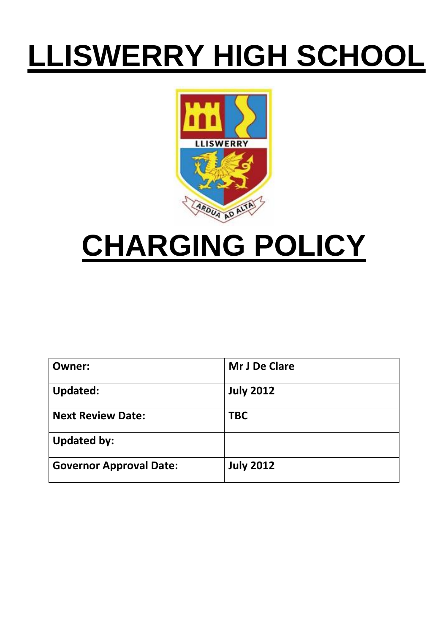# **LLISWERRY HIGH SCHOOL**



## **CHARGING POLICY**

| <b>Owner:</b>                  | Mr J De Clare    |
|--------------------------------|------------------|
| <b>Updated:</b>                | <b>July 2012</b> |
| <b>Next Review Date:</b>       | <b>TBC</b>       |
| <b>Updated by:</b>             |                  |
| <b>Governor Approval Date:</b> | <b>July 2012</b> |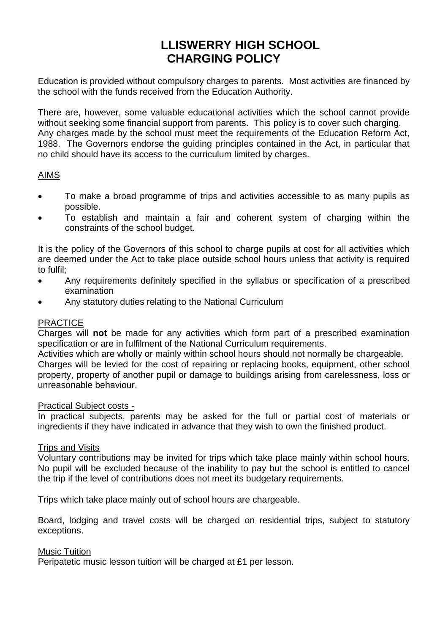### **LLISWERRY HIGH SCHOOL CHARGING POLICY**

Education is provided without compulsory charges to parents. Most activities are financed by the school with the funds received from the Education Authority.

There are, however, some valuable educational activities which the school cannot provide without seeking some financial support from parents. This policy is to cover such charging. Any charges made by the school must meet the requirements of the Education Reform Act, 1988. The Governors endorse the guiding principles contained in the Act, in particular that no child should have its access to the curriculum limited by charges.

#### AIMS

- To make a broad programme of trips and activities accessible to as many pupils as possible.
- To establish and maintain a fair and coherent system of charging within the constraints of the school budget.

It is the policy of the Governors of this school to charge pupils at cost for all activities which are deemed under the Act to take place outside school hours unless that activity is required to fulfil;

- Any requirements definitely specified in the syllabus or specification of a prescribed examination
- Any statutory duties relating to the National Curriculum

#### PRACTICE

Charges will **not** be made for any activities which form part of a prescribed examination specification or are in fulfilment of the National Curriculum requirements.

Activities which are wholly or mainly within school hours should not normally be chargeable. Charges will be levied for the cost of repairing or replacing books, equipment, other school property, property of another pupil or damage to buildings arising from carelessness, loss or unreasonable behaviour.

#### Practical Subject costs -

In practical subjects, parents may be asked for the full or partial cost of materials or ingredients if they have indicated in advance that they wish to own the finished product.

#### Trips and Visits

Voluntary contributions may be invited for trips which take place mainly within school hours. No pupil will be excluded because of the inability to pay but the school is entitled to cancel the trip if the level of contributions does not meet its budgetary requirements.

Trips which take place mainly out of school hours are chargeable.

Board, lodging and travel costs will be charged on residential trips, subject to statutory exceptions.

#### Music Tuition

Peripatetic music lesson tuition will be charged at £1 per lesson.